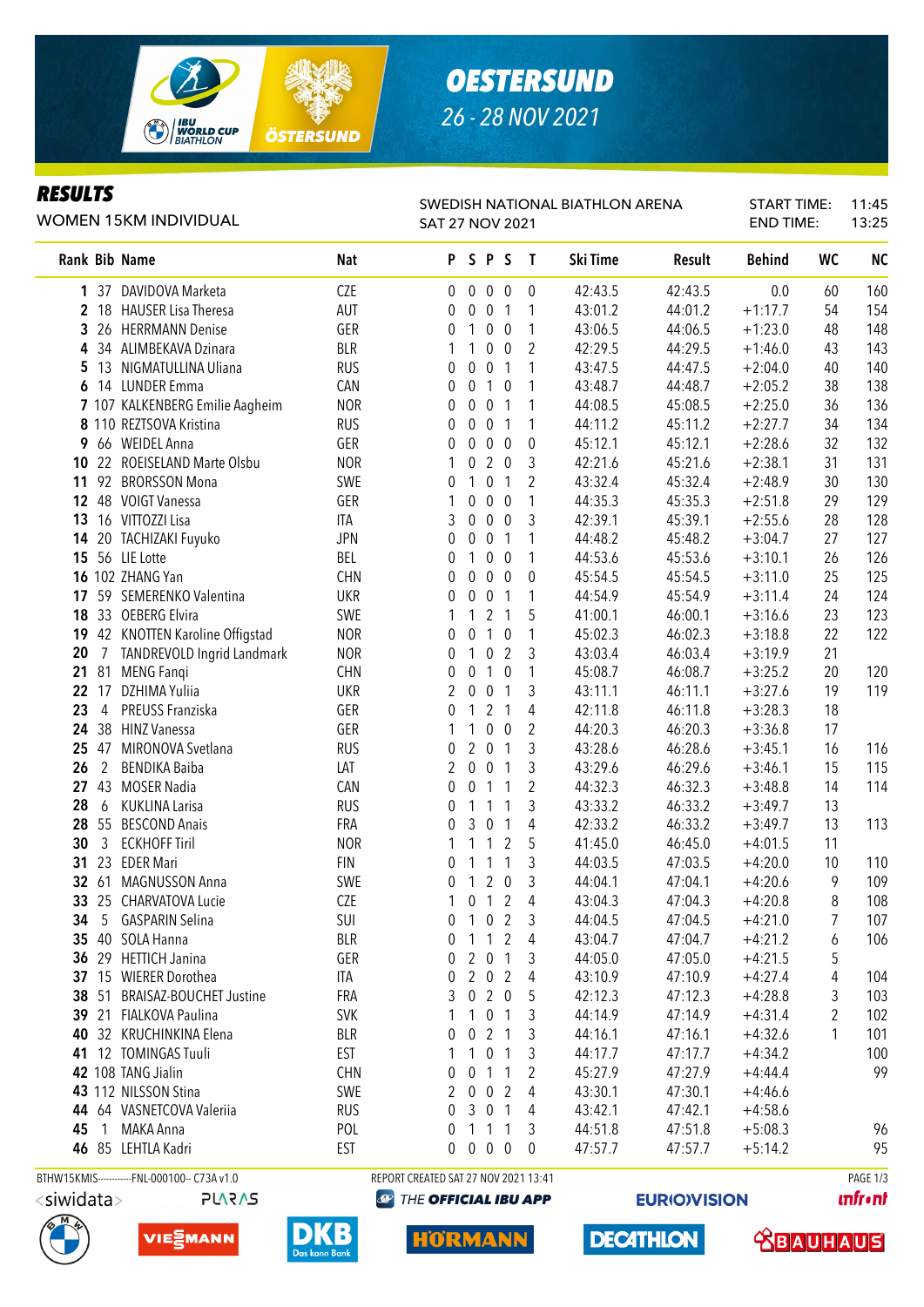

## *OESTERSUND 26 - 28 NOV 2021*

#### *RESULTS*

#### WOMEN 15KM INDIVIDUAL

#### SWEDISH NATIONAL BIATHLON ARENA SAT 27 NOV 2021

START TIME: 11:45 END TIME: 13:25

|                      | Rank Bib Name                               | <b>Nat</b> |                                      |                  | PSPS              |                          | $\mathbf{T}$   | Ski Time | <b>Result</b> | <b>Behind</b> | WC | <b>NC</b> |
|----------------------|---------------------------------------------|------------|--------------------------------------|------------------|-------------------|--------------------------|----------------|----------|---------------|---------------|----|-----------|
|                      | 1 37 DAVIDOVA Marketa                       | CZE        | 0                                    | $\mathbf 0$      | $\mathbf 0$       | $\overline{0}$           | $\mathbf 0$    | 42:43.5  | 42:43.5       | 0.0           | 60 | 160       |
|                      | 2 18 HAUSER Lisa Theresa                    | <b>AUT</b> | 0                                    | $\overline{0}$   | $\mathbf 0$       | $\overline{1}$           | 1              | 43:01.2  | 44:01.2       | $+1:17.7$     | 54 | 154       |
| 3                    | 26 HERRMANN Denise                          | GER        | 0                                    | 1                | $\mathbf 0$       | $\overline{0}$           | 1              | 43:06.5  | 44:06.5       | $+1:23.0$     | 48 | 148       |
| 4                    | 34 ALIMBEKAVA Dzinara                       | <b>BLR</b> | 1                                    | 1                | 0                 | $\mathbf 0$              | $\overline{2}$ | 42:29.5  | 44:29.5       | $+1:46.0$     | 43 | 143       |
| 5                    | 13 NIGMATULLINA Uliana                      | <b>RUS</b> | 0                                    | 0                | 0                 | $\overline{1}$           | 1              | 43:47.5  | 44:47.5       | $+2:04.0$     | 40 | 140       |
| 6                    | 14 LUNDER Emma                              | CAN        | 0                                    | $\mathbf 0$      |                   | $1\quad0$                | 1              | 43:48.7  | 44:48.7       | $+2:05.2$     | 38 | 138       |
|                      | 7 107 KALKENBERG Emilie Aagheim             | <b>NOR</b> | 0                                    | $\mathbf{0}$     | $\mathbf 0$       | $\overline{1}$           | 1              | 44:08.5  | 45:08.5       | $+2:25.0$     | 36 | 136       |
|                      | 8 110 REZTSOVA Kristina                     | <b>RUS</b> | 0                                    | $\mathbf{0}$     | $\mathbf 0$       | $\overline{\phantom{0}}$ | 1              | 44:11.2  | 45:11.2       | $+2:27.7$     | 34 | 134       |
| 9                    | 66 WEIDEL Anna                              | GER        | 0                                    | $\mathbf{0}$     | $0\quad 0$        |                          | $\mathbf 0$    | 45:12.1  | 45:12.1       | $+2:28.6$     | 32 | 132       |
| 10                   | 22 ROEISELAND Marte Olsbu                   | <b>NOR</b> | 1                                    | 0                | $2\quad0$         |                          | 3              | 42:21.6  | 45:21.6       | $+2:38.1$     | 31 | 131       |
| 11                   | 92 BRORSSON Mona                            | SWE        | 0                                    | 1                | 0                 | $\mathbf{1}$             | $\overline{2}$ | 43:32.4  | 45:32.4       | $+2:48.9$     | 30 | 130       |
| 12 <sup>°</sup>      | 48 VOIGT Vanessa                            | GER        | 1                                    | 0                | $\pmb{0}$         | $\overline{0}$           | 1              | 44:35.3  | 45:35.3       | $+2:51.8$     | 29 | 129       |
| 13                   | 16 VITTOZZI Lisa                            | ITA        | 3                                    | 0                | $\overline{0}$    | $\overline{0}$           | 3              | 42:39.1  | 45:39.1       | $+2:55.6$     | 28 | 128       |
| 14                   | 20 TACHIZAKI Fuyuko                         | <b>JPN</b> | 0                                    | $\overline{0}$   | $\overline{0}$    | $\overline{1}$           | 1              | 44:48.2  | 45:48.2       | $+3:04.7$     | 27 | 127       |
|                      | 15 56 LIE Lotte                             | BEL        | 0                                    | 1                | 0 <sub>0</sub>    |                          | 1              | 44:53.6  | 45:53.6       | $+3:10.1$     | 26 | 126       |
|                      | 16 102 ZHANG Yan                            | <b>CHN</b> | 0                                    | $\mathbf{0}$     | 0 <sub>0</sub>    |                          | 0              | 45:54.5  | 45:54.5       | $+3:11.0$     | 25 | 125       |
|                      | 17 59 SEMERENKO Valentina                   | <b>UKR</b> | 0                                    | $\mathbf 0$      | $\mathbf 0$       | $\overline{\phantom{0}}$ | 1              | 44:54.9  | 45:54.9       | $+3:11.4$     | 24 | 124       |
|                      | 18 33 OEBERG Elvira                         | SWE        |                                      | 1                | 2 <sub>1</sub>    |                          | 5              | 41:00.1  | 46:00.1       | $+3:16.6$     | 23 | 123       |
|                      | 19 42 KNOTTEN Karoline Offigstad            | <b>NOR</b> | 0                                    | $\overline{0}$   | $1\quad0$         |                          | 1              | 45:02.3  | 46:02.3       | $+3:18.8$     | 22 | 122       |
| 20                   | 7 TANDREVOLD Ingrid Landmark                | <b>NOR</b> | 0                                    | 1                | 0                 | $\overline{2}$           | 3              | 43:03.4  | 46:03.4       | $+3:19.9$     | 21 |           |
| 21                   | 81 MENG Fanqi                               | <b>CHN</b> | 0                                    | $\mathbf{0}$     | $1\quad0$         |                          | 1              | 45:08.7  | 46:08.7       | $+3:25.2$     | 20 | 120       |
| 22                   | 17<br>DZHIMA Yuliia                         | <b>UKR</b> | 2                                    | $\mathbf{0}$     | 0                 | $\overline{1}$           | 3              | 43:11.1  | 46:11.1       | $+3:27.6$     | 19 | 119       |
| 23                   | PREUSS Franziska<br>4                       | GER        | 0                                    | 1                | 2                 | $\sqrt{1}$               | 4              | 42:11.8  | 46:11.8       | $+3:28.3$     | 18 |           |
| 24                   | 38 HINZ Vanessa                             | GER        | 1                                    | 1                | 0                 | $\overline{0}$           | $\overline{2}$ | 44:20.3  | 46:20.3       | $+3:36.8$     | 17 |           |
| 25                   | 47<br>MIRONOVA Svetlana                     | <b>RUS</b> | 0                                    | $\overline{2}$   | $\mathbf 0$       | $\overline{1}$           | 3              | 43:28.6  | 46:28.6       | $+3:45.1$     | 16 | 116       |
| 26<br>$\overline{2}$ | <b>BENDIKA Baiba</b>                        | LAT        | 2                                    | $\pmb{0}$        | $\overline{0}$    | $\overline{1}$           | 3              | 43:29.6  | 46:29.6       | $+3:46.1$     | 15 | 115       |
| 27                   | 43 MOSER Nadia                              | CAN        | 0                                    | $\boldsymbol{0}$ | $\mathbf{1}$      | $\overline{1}$           | $\overline{2}$ | 44:32.3  | 46:32.3       | $+3:48.8$     | 14 | 114       |
| 28<br>6              | <b>KUKLINA Larisa</b>                       | <b>RUS</b> | 0                                    | 1                | 1                 | $\mathbf 1$              | 3              | 43:33.2  | 46:33.2       | $+3:49.7$     | 13 |           |
| 28                   | 55 BESCOND Anais                            | FRA        | 0                                    | 3                | $\pmb{0}$         | $\overline{\phantom{1}}$ | $\overline{4}$ | 42:33.2  | 46:33.2       | $+3:49.7$     | 13 | 113       |
| $\mathfrak{Z}$<br>30 | <b>ECKHOFF Tiril</b>                        | <b>NOR</b> | 1                                    |                  | 1                 | $\overline{2}$           | 5              | 41:45.0  | 46:45.0       | $+4:01.5$     | 11 |           |
| 31                   | 23<br><b>EDER Mari</b>                      | <b>FIN</b> | 0                                    | 1                | 1                 | 1                        | 3              | 44:03.5  | 47:03.5       | $+4:20.0$     | 10 | 110       |
| 32<br>61             | MAGNUSSON Anna                              | SWE        | 0                                    | 1                |                   | 2 <sub>0</sub>           | 3              | 44:04.1  | 47:04.1       | $+4:20.6$     | 9  | 109       |
| 33                   | 25 CHARVATOVA Lucie                         | CZE        | 1                                    | 0                | $\mathbf{1}$      | $\overline{2}$           | $\overline{4}$ | 43:04.3  | 47:04.3       | $+4:20.8$     | 8  | 108       |
| 34                   | 5<br><b>GASPARIN Selina</b>                 | SUI        | 0                                    | $\mathbf{1}$     | 0 <sub>2</sub>    |                          | 3              | 44:04.5  | 47:04.5       | $+4:21.0$     |    | 107       |
|                      | 35 40 SOLA Hanna                            | <b>BLR</b> | 0                                    |                  | 1 1 2             |                          | 4              | 43:04.7  | 47:04.7       | $+4:21.2$     | 6  | 106       |
|                      | 36 29 HETTICH Janina                        | GER        | 0                                    | 2                | $\overline{0}$    | -1                       | 3              | 44:05.0  | 47:05.0       | $+4:21.5$     | 5  |           |
|                      | 37 15 WIERER Dorothea                       | ITA        | 0                                    |                  | $2 \t0 \t2$       |                          | 4              | 43:10.9  | 47:10.9       | $+4:27.4$     | 4  | 104       |
|                      | 38 51 BRAISAZ-BOUCHET Justine               | FRA        | 3                                    |                  | 020               |                          | 5              | 42:12.3  | 47:12.3       | $+4:28.8$     | 3  | 103       |
|                      | 39 21 FIALKOVA Paulina                      | <b>SVK</b> |                                      |                  | $1 \t0 \t1$       |                          | 3              | 44:14.9  | 47:14.9       | $+4:31.4$     | 2  | 102       |
|                      | 40 32 KRUCHINKINA Elena                     | <b>BLR</b> | 0                                    |                  | 021               |                          | 3              | 44:16.1  | 47:16.1       | $+4:32.6$     | 1  | 101       |
|                      | 41 12 TOMINGAS Tuuli                        | EST        |                                      | 1                | $\mathbf 0$       | - 1                      | 3              | 44:17.7  | 47:17.7       | $+4:34.2$     |    | 100       |
|                      | 42 108 TANG Jialin                          | <b>CHN</b> | 0                                    | $\mathbf 0$      | $1\quad1$         |                          | 2              | 45:27.9  | 47:27.9       | $+4:44.4$     |    | 99        |
|                      | 43 112 NILSSON Stina                        | SWE        | 2                                    | $\mathbf 0$      | $\mathbf 0$       | 2                        | 4              | 43:30.1  | 47:30.1       | $+4:46.6$     |    |           |
|                      | 44 64 VASNETCOVA Valeriia                   | <b>RUS</b> | 0                                    | 3                | $\overline{0}$    | $\sqrt{1}$               | 4              | 43:42.1  | 47:42.1       | $+4:58.6$     |    |           |
| 45                   | 1 MAKA Anna                                 | POL        | 0                                    | $\mathbf{1}$     | $\overline{1}$    | $\sqrt{1}$               | 3              | 44:51.8  | 47:51.8       | $+5:08.3$     |    | 96        |
|                      | 46 85 LEHTLA Kadri                          | EST        | 0                                    |                  | $0\quad 0\quad 0$ |                          | $\overline{0}$ | 47:57.7  | 47:57.7       | $+5:14.2$     |    | 95        |
|                      | BTHW15KMIS-----------FNL-000100-- C73A v1.0 |            | REPORT CREATED SAT 27 NOV 2021 13:41 |                  |                   |                          |                |          |               |               |    | PAGE 1/3  |
|                      |                                             |            |                                      |                  |                   |                          |                |          |               |               |    |           |

<siwidata>







**HORMANN** 

**EURIO)VISION** 

**DECATHLON** 

**unfront** 

 **<u>CBAUHAUS</u>**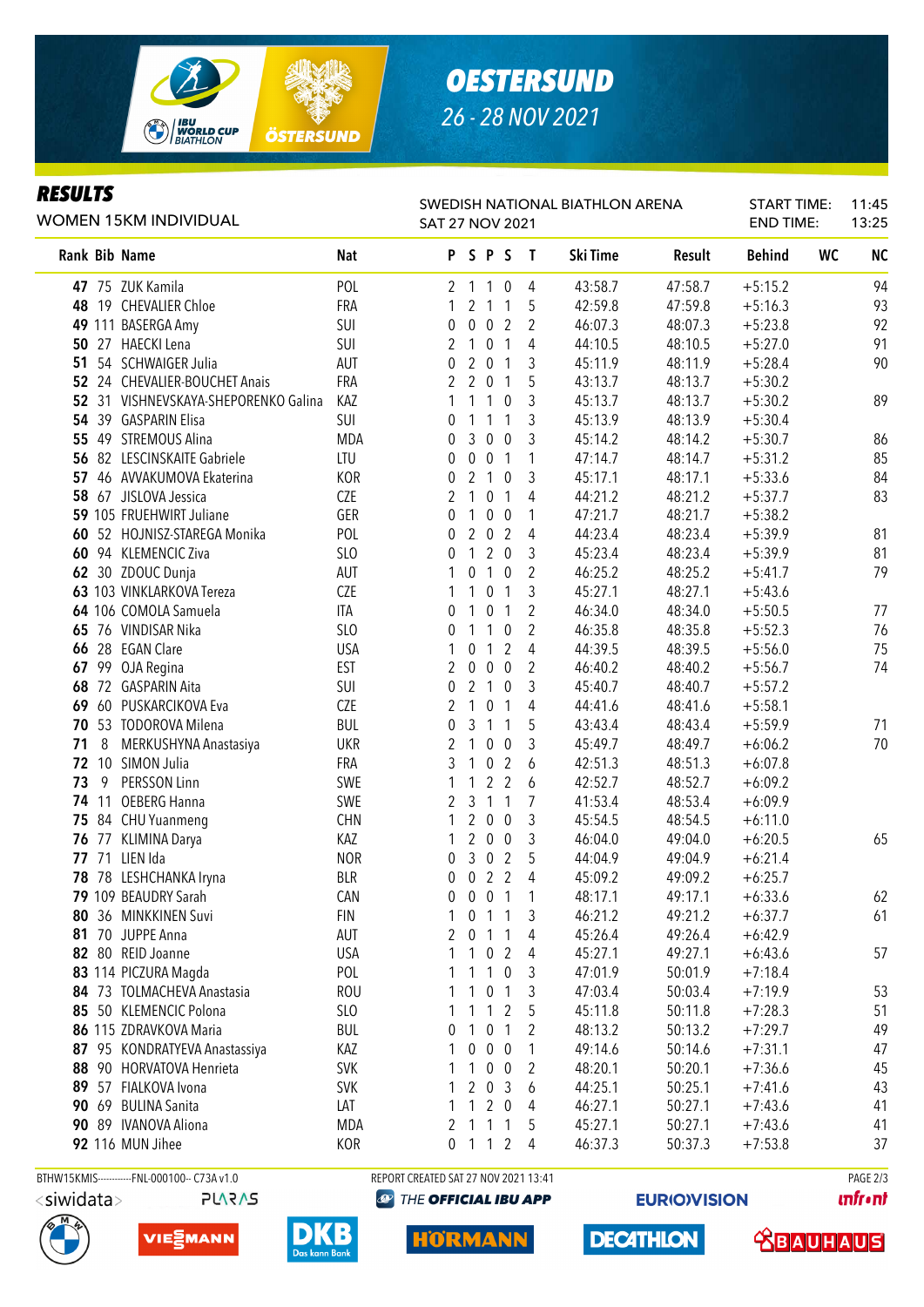

## *OESTERSUND 26 - 28 NOV 2021*

### *RESULTS*

| <b>RESULTS</b><br><b>WOMEN 15KM INDIVIDUAL</b> |            | SWEDISH NATIONAL BIATHLON ARENA<br><b>SAT 27 NOV 2021</b> |         | <b>START TIME:</b><br><b>END TIME:</b> |          | 11:45<br>13:25 |               |    |           |
|------------------------------------------------|------------|-----------------------------------------------------------|---------|----------------------------------------|----------|----------------|---------------|----|-----------|
| Rank Bib Name                                  | Nat        |                                                           | P S P S |                                        | Ski Time | <b>Result</b>  | <b>Behind</b> | WC | <b>NC</b> |
| 47 75 ZUK Kamila                               | <b>POL</b> |                                                           | 2 1 1 0 | 4                                      | 43:58.7  | 47:58.7        | $+5:15.2$     |    | 94        |
| 48 19 CHEVALIER Chloe                          | FRA        |                                                           | 1 2 1 1 |                                        | 42:59.8  | 47:59.8        | $+5:16.3$     |    | 93        |
| 49 111 BASERGA Amy                             | SUI        |                                                           | 002     | - 2                                    | 46:07.3  | 48:07.3        | $+5:23.8$     |    | 92        |
| 50 27 HAECKI Lena                              | SUI        |                                                           | - 0     | 4                                      | 44:10.5  | 48:10.5        | $+5:27.0$     |    | 91        |
| 51 54 SCHWAIGER Julia                          | AUT        |                                                           | 20      |                                        | 45:11.9  | 48:11.9        | $+5:28.4$     |    | 90        |

|         | BTHW15KMIS------------FNL-000100-- C73A v1.0 |            | REPORT CREATED SAT 27 NOV 2021 13:41 |                  |                          |                                |                |                    |                    |                        | PAGE 2/3                 |
|---------|----------------------------------------------|------------|--------------------------------------|------------------|--------------------------|--------------------------------|----------------|--------------------|--------------------|------------------------|--------------------------|
|         | 92 116 MUN Jihee                             | KOR        | 0                                    | $\mathbf{1}$     | $\mathbf{1}$             | $\overline{2}$                 | $\overline{4}$ | 46:37.3            | 50:37.3            | $+7:53.8$              | 37                       |
|         | 90 89 IVANOVA Aliona                         | MDA        | 2                                    | $\mathbf{1}$     | $\mathbf{1}$             | 1                              | 5              | 45:27.1            | 50:27.1            | $+7:43.6$              | 41                       |
|         | 90 69 BULINA Sanita                          | LAT        | 1                                    | 1                | 2                        | $\mathbf 0$                    | 4              | 46:27.1            | 50:27.1            | $+7:43.6$              | 41                       |
|         | 89 57 FIALKOVA Ivona                         | <b>SVK</b> | 1                                    | 2                | $\mathbf 0$              | 3                              | 6              | 44:25.1            | 50:25.1            | $+7:41.6$              | 43                       |
|         | 88 90 HORVATOVA Henrieta                     | <b>SVK</b> | 1                                    | 1                | $\bf{0}$                 | 0                              | 2              | 48:20.1            | 50:20.1            | $+7:36.6$              | 45                       |
|         | 87 95 KONDRATYEVA Anastassiya                | KAZ        |                                      | 0                | $\boldsymbol{0}$         | $\boldsymbol{0}$               | 1              | 49:14.6            | 50:14.6            | $+7:31.1$              | 47                       |
|         | 86 115 ZDRAVKOVA Maria                       | BUL        | 0                                    | 1                | 0                        | 1                              | 2              | 48:13.2            | 50:13.2            | $+7:29.7$              | 49                       |
|         | 85 50 KLEMENCIC Polona                       | SLO        |                                      | 1                | 1                        | 2                              | 5              | 45:11.8            | 50:11.8            | $+7:28.3$              | 51                       |
|         | 84 73 TOLMACHEVA Anastasia                   | <b>ROU</b> |                                      |                  | 101                      |                                | 3              | 47:03.4            | 50:03.4            | $+7:19.9$              | 53                       |
|         | 83 114 PICZURA Magda                         | POL        | 1                                    | $\mathbf{1}$     | $\overline{1}$           | $\boldsymbol{0}$               | 3              | 47:01.9            | 50:01.9            | $+7:18.4$              |                          |
|         | 82 80 REID Joanne                            | <b>USA</b> | 1                                    | 1                | $\mathbf 0$              | $\overline{2}$                 | 4              | 45:27.1            | 49:27.1            | $+6:43.6$              | 57                       |
|         | 81 70 JUPPE Anna                             | AUT        | 2                                    | 0                | $\mathbf{1}$             | $\overline{1}$                 | 4              | 45:26.4            | 49:26.4            | $+6:42.9$              |                          |
|         | 80 36 MINKKINEN Suvi                         | <b>FIN</b> |                                      | 0                | $\mathbf{1}$             | $\mathbf{1}$                   | 3              | 46:21.2            | 49:21.2            | $+6:37.7$              | 61                       |
|         | 79 109 BEAUDRY Sarah                         | CAN        | 0                                    | 0                | $\pmb{0}$                | $\mathbf{1}$                   | 1              | 48:17.1            | 49:17.1            | $+6:33.6$              | 62                       |
|         | 78 78 LESHCHANKA Iryna                       | <b>BLR</b> | 0                                    | 0                | $\overline{2}$           | $\overline{2}$                 | 4              | 45:09.2            | 49:09.2            | $+6:25.7$              |                          |
|         | 77 71 LIEN Ida                               | <b>NOR</b> | 0                                    | 3                | $\mathbf 0$              | $\overline{2}$                 | 5              | 44:04.9            | 49:04.9            | $+6:21.4$              |                          |
|         | 76 77 KLIMINA Darya                          | KAZ        | 1                                    | $\overline{2}$   | $\overline{0}$           | $\overline{0}$                 | 3              | 46:04.0            | 49:04.0            | $+6:20.5$              | 65                       |
|         | 75 84 CHU Yuanmeng                           | <b>CHN</b> | 1                                    | $\overline{2}$   | $\boldsymbol{0}$         | $\boldsymbol{0}$               | 3              | 45:54.5            | 48:54.5            | $+6:11.0$              |                          |
| 74 11   | <b>OEBERG Hanna</b>                          | SWE        | 2                                    | 3                | $\mathbf{1}$             | 1                              | 7              | 41:53.4            | 48:53.4            | $+6:09.9$              |                          |
| 9<br>73 | PERSSON Linn                                 | SWE        | 1                                    | 1                | $\overline{2}$           | $\overline{2}$                 | 6              | 42:52.7            | 48:52.7            | $+6:09.2$              |                          |
|         | 72 10 SIMON Julia                            | FRA        | 3                                    | 1                | $\pmb{0}$                | $\overline{2}$                 | 6              | 42:51.3            | 48:51.3            | $+6:07.8$              |                          |
| 8<br>71 | MERKUSHYNA Anastasiya                        | <b>UKR</b> | 2                                    | $\mathbf{1}$     | 0                        | 0                              | 3              | 45:49.7            | 48:49.7            | $+6:06.2$              | 70                       |
|         | 70 53 TODOROVA Milena                        | <b>BUL</b> | 0                                    | 3                | $\mathbf{1}$             | 1                              | 5              | 43:43.4            | 48:43.4            | $+5:59.9$              | 71                       |
|         | 69 60 PUSKARCIKOVA Eva                       | <b>CZE</b> | 2                                    | 1                | $\pmb{0}$                | $\mathbf{1}$                   | 4              | 44:41.6            | 48:41.6            | $+5:58.1$              |                          |
|         | 68 72 GASPARIN Aita                          | SUI        | 0                                    |                  | 2 <sub>1</sub>           | 0                              | 3              | 45:40.7            | 48:40.7            | $+5:57.2$              |                          |
|         | 67 99 OJA Regina                             | <b>EST</b> | 2                                    | 0                | $\pmb{0}$                | $\mathbf 0$                    | 2              | 46:40.2            | 48:40.2            | $+5:56.7$              | 74                       |
|         | 66 28 EGAN Clare                             | <b>USA</b> | 1                                    | 0                | $\mathbf{1}$             | $\overline{2}$                 | 4              | 44:39.5            | 48:39.5            | $+5:56.0$              | 75                       |
|         | 65 76 VINDISAR Nika                          | SLO        | 0                                    | 1                | $\mathbf{1}$             | $\mathbf 0$                    | 2              | 46:35.8            | 48:35.8            | $+5:52.3$              | 76                       |
|         | 64 106 COMOLA Samuela                        | ITA        | 0                                    | 1                | $\boldsymbol{0}$         | $\mathbf{1}$                   | 2              | 46:34.0            | 48:34.0            | $+5:50.5$              | 77                       |
|         | 63 103 VINKLARKOVA Tereza                    | <b>CZE</b> | 1                                    | 1                | $\mathbf 0$              | $\mathbf{1}$                   | 3              | 45:27.1            | 48:27.1            | $+5:43.6$              |                          |
|         | 62 30 ZDOUC Dunja                            | AUT        | 1                                    | 0                | $\mathbf{1}$             | $\mathbf 0$                    | 2              | 46:25.2            | 48:25.2            | $+5:41.7$              | 79                       |
|         | 60 94 KLEMENCIC Ziva                         | SLO        | 0                                    | $\mathbf{1}$     | $\overline{2}$           | $\overline{0}$                 | 3              | 45:23.4            | 48:23.4            | $+5:39.9$              | 81                       |
|         | 60 52 HOJNISZ-STAREGA Monika                 | POL        | 0                                    | $\overline{2}$   | $\overline{0}$           | $\overline{2}$                 | 4              | 44:23.4            | 48:23.4            | $+5:39.9$              | 81                       |
|         | 59 105 FRUEHWIRT Juliane                     | GER        | 0                                    | 1                | $\pmb{0}$                | $\mathbf 0$                    | 1              | 47:21.7            | 48:21.7            | $+5:38.2$              |                          |
|         | 58 67 JISLOVA Jessica                        | <b>CZE</b> | 2                                    | 1                | 0                        | $\mathbf{1}$                   | 4              | 44:21.2            | 48:21.2            | $+5:37.7$              | 83                       |
|         | 57 46 AVVAKUMOVA Ekaterina                   | KOR        | 0                                    | $\overline{2}$   | $\mathbf{1}$             | $\pmb{0}$                      | 3              | 45:17.1            | 48:17.1            | $+5:33.6$              | 84                       |
|         | 56 82 LESCINSKAITE Gabriele                  | LTU        | 0                                    | $\boldsymbol{0}$ | $\pmb{0}$                | $\mathbf{1}$                   | 1              | 47:14.7            | 48:14.7            | $+5:31.2$              | 85                       |
|         | 55 49 STREMOUS Alina                         | <b>MDA</b> | 0                                    | 3                | $\overline{0}$           | $\overline{0}$                 | 3              | 45:14.2            | 48:14.2            | $+5:30.7$              | 86                       |
|         | 54 39 GASPARIN Elisa                         | SUI        | 0                                    | 1                | 1                        | $\mathbf{1}$                   | 3              | 45:13.9            | 48:13.9            | $+5:30.4$              |                          |
|         | 52 31 VISHNEVSKAYA-SHEPORENKO Galina         | KAZ        | 1                                    | $\mathbf{1}$     | $\mathbf{1}$             | $\mathbf 0$                    | 3              | 45:13.7            | 48:13.7            | $+5:30.2$              | 89                       |
|         | 52 24 CHEVALIER-BOUCHET Anais                | FRA        | 0<br>$\overline{2}$                  | $\overline{2}$   | $\overline{0}$           | $\mathbf{1}$                   | 3<br>5         | 45:11.9<br>43:13.7 | 48:11.9<br>48:13.7 | $+5:30.2$              |                          |
|         | 50 27 HAECKI Lena<br>51 54 SCHWAIGER Julia   | SUI<br>AUT | 2                                    | $\overline{1}$   | $\mathbf 0$<br>$2\quad0$ | $\mathbf{1}$<br>$\overline{1}$ | 4              | 44:10.5            | 48:10.5            | $+5:27.0$<br>$+5:28.4$ | 91<br>90                 |
|         | 49 111 BASERGA Amy                           | SUI        | 0                                    | $\boldsymbol{0}$ | $\mathbf 0$              | $\overline{2}$                 | 2              | 46:07.3            | 48:07.3            | $+5:23.8$              | 92                       |
|         | 48 19 CHEVALIER Chloe                        | FRA        | 1                                    |                  | 2 <sub>1</sub>           | $\mathbf{1}$                   | 5              | 42:59.8            | 47:59.8            | $+5:16.3$              | 93                       |
|         | $1 - 2$ LUIVING THE                          | 1 V L      |                                      |                  |                          |                                |                | 70.00.7            | 71.00.7            |                        | $\overline{\phantom{a}}$ |







# THE OFFICIAL IBU APP

HORMA

**EURIO)VISION** 

**DECATHLON** 

**unfront** 

 **<u>CBAUHAUS</u>**